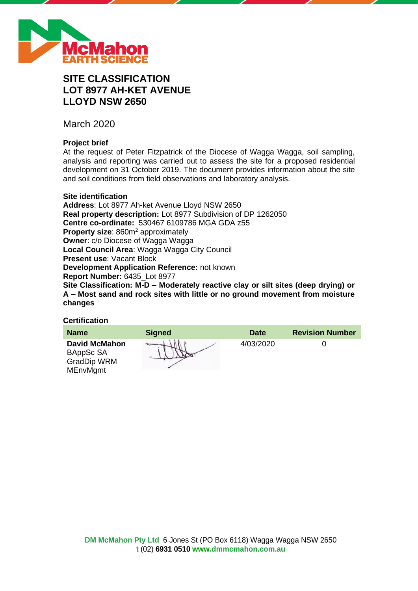

# **SITE CLASSIFICATION LOT 8977 AH-KET AVENUE LLOYD NSW 2650**

March 2020

# **Project brief**

At the request of Peter Fitzpatrick of the Diocese of Wagga Wagga, soil sampling, analysis and reporting was carried out to assess the site for a proposed residential development on 31 October 2019. The document provides information about the site and soil conditions from field observations and laboratory analysis.

# **Site identification**

**Address**: Lot 8977 Ah-ket Avenue Lloyd NSW 2650 **Real property description:** Lot 8977 Subdivision of DP 1262050 **Centre co-ordinate:** 530467 6109786 MGA GDA z55 **Property size:** 860m<sup>2</sup> approximately **Owner**: c/o Diocese of Wagga Wagga **Local Council Area**: Wagga Wagga City Council **Present use**: Vacant Block **Development Application Reference:** not known **Report Number:** 6435\_Lot 8977 **Site Classification: M-D – Moderately reactive clay or silt sites (deep drying) or A – Most sand and rock sites with little or no ground movement from moisture changes**

# **Certification**

| <b>Name</b>                                                         | <b>Signed</b> | <b>Date</b> | <b>Revision Number</b> |
|---------------------------------------------------------------------|---------------|-------------|------------------------|
| <b>David McMahon</b><br>BAppSc SA<br>GradDip WRM<br><b>MEnvMgmt</b> |               | 4/03/2020   |                        |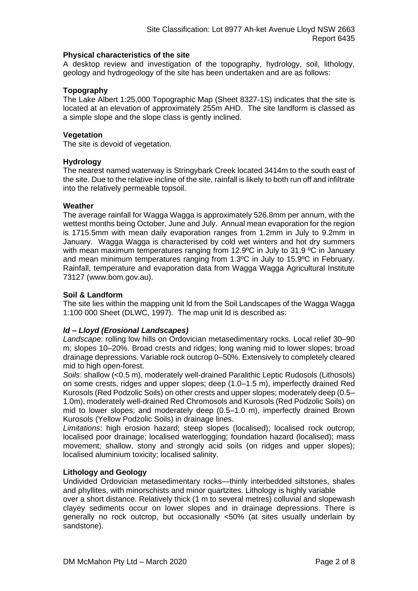# **Physical characteristics of the site**

A desktop review and investigation of the topography, hydrology, soil, lithology, geology and hydrogeology of the site has been undertaken and are as follows:

# **Topography**

The Lake Albert 1:25,000 Topographic Map (Sheet 8327-1S) indicates that the site is located at an elevation of approximately 255m AHD. The site landform is classed as a simple slope and the slope class is gently inclined.

# **Vegetation**

The site is devoid of vegetation.

# **Hydrology**

The nearest named waterway is Stringybark Creek located 3414m to the south east of the site. Due to the relative incline of the site, rainfall is likely to both run off and infiltrate into the relatively permeable topsoil.

# **Weather**

The average rainfall for Wagga Wagga is approximately 526.8mm per annum, with the wettest months being October, June and July. Annual mean evaporation for the region is 1715.5mm with mean daily evaporation ranges from 1.2mm in July to 9.2mm in January. Wagga Wagga is characterised by cold wet winters and hot dry summers with mean maximum temperatures ranging from 12.9°C in July to 31.9 °C in January and mean minimum temperatures ranging from 1.3ºC in July to 15.9ºC in February. Rainfall, temperature and evaporation data from Wagga Wagga Agricultural Institute 73127 (www.bom.gov.au).

# **Soil & Landform**

The site lies within the mapping unit ld from the Soil Landscapes of the Wagga Wagga 1:100 000 Sheet (DLWC, 1997). The map unit ld is described as:

# *ld – Lloyd (Erosional Landscapes)*

*Landscape*: rolling low hills on Ordovician metasedimentary rocks. Local relief 30–90 m; slopes 10–20%. Broad crests and ridges; long waning mid to lower slopes; broad drainage depressions. Variable rock outcrop 0–50%. Extensively to completely cleared mid to high open-forest.

*Soils*: shallow (<0.5 m), moderately well-drained Paralithic Leptic Rudosols (Lithosols) on some crests, ridges and upper slopes; deep (1.0–1.5 m), imperfectly drained Red Kurosols (Red Podzolic Soils) on other crests and upper slopes; moderately deep (0.5– 1.0m), moderately well-drained Red Chromosols and Kurosols (Red Podzolic Soils) on mid to lower slopes; and moderately deep (0.5–1.0 m), imperfectly drained Brown Kurosols (Yellow Podzolic Soils) in drainage lines.

*Limitations*: high erosion hazard; steep slopes (localised); localised rock outcrop; localised poor drainage; localised waterlogging; foundation hazard (localised); mass movement; shallow, stony and strongly acid soils (on ridges and upper slopes); localised aluminium toxicity; localised salinity.

### **Lithology and Geology**

Undivided Ordovician metasedimentary rocks—thinly interbedded siltstones, shales and phyllites, with minorschists and minor quartzites. Lithology is highly variable

over a short distance. Relatively thick (1 m to several metres) colluvial and slopewash clayey sediments occur on lower slopes and in drainage depressions. There is generally no rock outcrop, but occasionally <50% (at sites usually underlain by sandstone).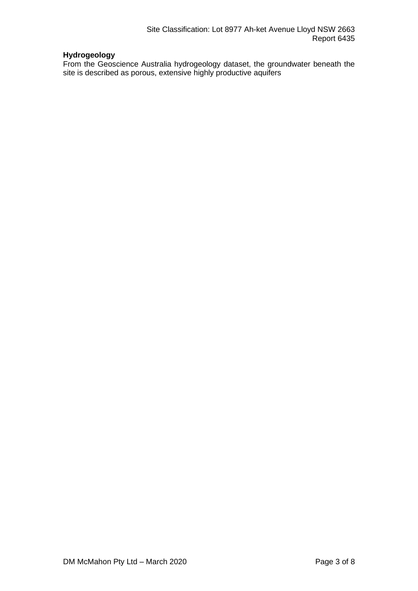# **Hydrogeology**

From the Geoscience Australia hydrogeology dataset, the groundwater beneath the site is described as porous, extensive highly productive aquifers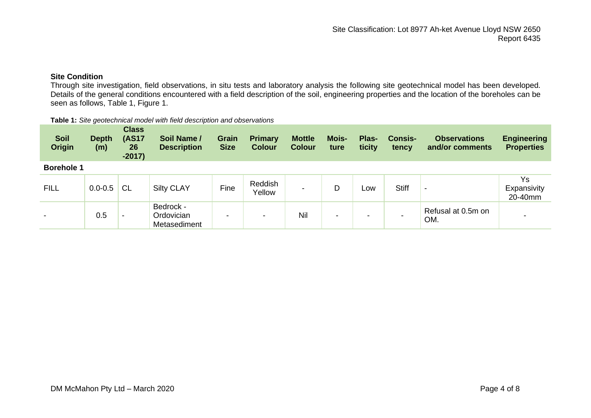# **Site Condition**

Through site investigation, field observations, in situ tests and laboratory analysis the following site geotechnical model has been developed. Details of the general conditions encountered with a field description of the soil, engineering properties and the location of the boreholes can be seen as follows, Table 1, Figure 1.

#### **Table 1:** *Site geotechnical model with field description and observations*

| <b>Soil</b><br><b>Origin</b> | <b>Depth</b><br>(m) | <b>Class</b><br><b>(AS17</b><br>26<br>$-2017)$ | Soil Name /<br><b>Description</b>       | Grain<br><b>Size</b> | <b>Primary</b><br><b>Colour</b> | <b>Mottle</b><br><b>Colour</b> | Mois-<br>ture | Plas-<br>ticity | <b>Consis-</b><br>tency | <b>Observations</b><br>and/or comments | <b>Engineering</b><br><b>Properties</b> |
|------------------------------|---------------------|------------------------------------------------|-----------------------------------------|----------------------|---------------------------------|--------------------------------|---------------|-----------------|-------------------------|----------------------------------------|-----------------------------------------|
| <b>Borehole 1</b>            |                     |                                                |                                         |                      |                                 |                                |               |                 |                         |                                        |                                         |
| <b>FILL</b>                  | $0.0 - 0.5$         | <b>CL</b>                                      | <b>Silty CLAY</b>                       | Fine                 | Reddish<br>Yellow               | -                              | D             | Low             | <b>Stiff</b>            | -                                      | Ys<br>Expansivity<br>20-40mm            |
|                              | 0.5                 |                                                | Bedrock -<br>Ordovician<br>Metasediment | $\blacksquare$       | $\,$                            | Nil                            | -             |                 |                         | Refusal at 0.5m on<br>OM.              |                                         |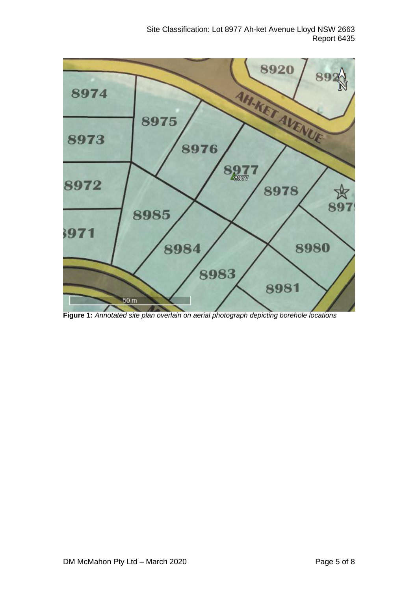

**Figure 1:** *Annotated site plan overlain on aerial photograph depicting borehole locations*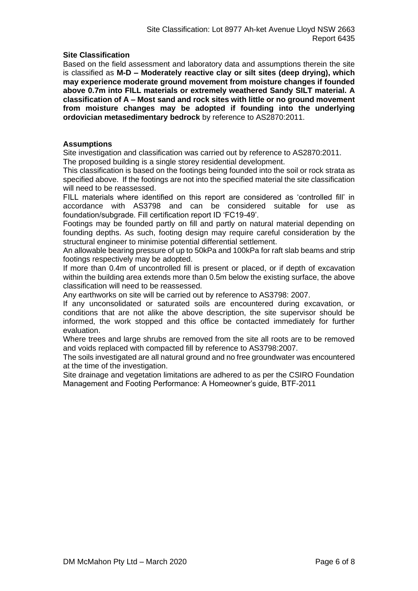# **Site Classification**

Based on the field assessment and laboratory data and assumptions therein the site is classified as **M-D – Moderately reactive clay or silt sites (deep drying), which may experience moderate ground movement from moisture changes if founded above 0.7m into FILL materials or extremely weathered Sandy SILT material. A classification of A – Most sand and rock sites with little or no ground movement from moisture changes may be adopted if founding into the underlying ordovician metasedimentary bedrock** by reference to AS2870:2011.

# **Assumptions**

Site investigation and classification was carried out by reference to AS2870:2011.

The proposed building is a single storey residential development.

This classification is based on the footings being founded into the soil or rock strata as specified above. If the footings are not into the specified material the site classification will need to be reassessed.

FILL materials where identified on this report are considered as 'controlled fill' in accordance with AS3798 and can be considered suitable for use as foundation/subgrade. Fill certification report ID 'FC19-49'.

Footings may be founded partly on fill and partly on natural material depending on founding depths. As such, footing design may require careful consideration by the structural engineer to minimise potential differential settlement.

An allowable bearing pressure of up to 50kPa and 100kPa for raft slab beams and strip footings respectively may be adopted.

If more than 0.4m of uncontrolled fill is present or placed, or if depth of excavation within the building area extends more than 0.5m below the existing surface, the above classification will need to be reassessed.

Any earthworks on site will be carried out by reference to AS3798: 2007.

If any unconsolidated or saturated soils are encountered during excavation, or conditions that are not alike the above description, the site supervisor should be informed, the work stopped and this office be contacted immediately for further evaluation.

Where trees and large shrubs are removed from the site all roots are to be removed and voids replaced with compacted fill by reference to AS3798:2007.

The soils investigated are all natural ground and no free groundwater was encountered at the time of the investigation.

Site drainage and vegetation limitations are adhered to as per the CSIRO Foundation Management and Footing Performance: A Homeowner's guide, BTF-2011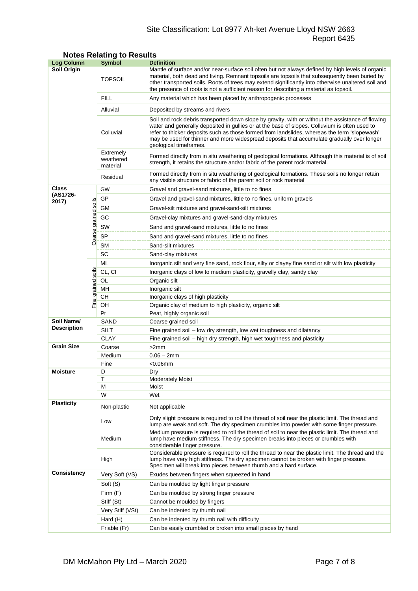# Site Classification: Lot 8977 Ah-ket Avenue Lloyd NSW 2663 Report 6435

| <b>Log Column</b>  |                      | <b>Symbol</b>                                                                                                                                                                                                              | <b>Definition</b>                                                                                                                                                                                                                                                                                                                                                                                                          |  |  |
|--------------------|----------------------|----------------------------------------------------------------------------------------------------------------------------------------------------------------------------------------------------------------------------|----------------------------------------------------------------------------------------------------------------------------------------------------------------------------------------------------------------------------------------------------------------------------------------------------------------------------------------------------------------------------------------------------------------------------|--|--|
| Soil Origin        |                      | <b>TOPSOIL</b>                                                                                                                                                                                                             | Mantle of surface and/or near-surface soil often but not always defined by high levels of organic<br>material, both dead and living. Remnant topsoils are topsoils that subsequently been buried by<br>other transported soils. Roots of trees may extend significantly into otherwise unaltered soil and<br>the presence of roots is not a sufficient reason for describing a material as topsoil.                        |  |  |
|                    |                      | <b>FILL</b>                                                                                                                                                                                                                | Any material which has been placed by anthropogenic processes                                                                                                                                                                                                                                                                                                                                                              |  |  |
|                    |                      | Alluvial                                                                                                                                                                                                                   | Deposited by streams and rivers                                                                                                                                                                                                                                                                                                                                                                                            |  |  |
|                    |                      | Colluvial                                                                                                                                                                                                                  | Soil and rock debris transported down slope by gravity, with or without the assistance of flowing<br>water and generally deposited in gullies or at the base of slopes. Colluvium is often used to<br>refer to thicker deposits such as those formed from landslides, whereas the term 'slopewash'<br>may be used for thinner and more widespread deposits that accumulate gradually over longer<br>geological timeframes. |  |  |
|                    |                      | Extremely<br>Formed directly from in situ weathering of geological formations. Although this material is of soil<br>weathered<br>strength, it retains the structure and/or fabric of the parent rock material.<br>material |                                                                                                                                                                                                                                                                                                                                                                                                                            |  |  |
|                    |                      | Residual                                                                                                                                                                                                                   | Formed directly from in situ weathering of geological formations. These soils no longer retain<br>any visible structure or fabric of the parent soil or rock material                                                                                                                                                                                                                                                      |  |  |
| Class              |                      | GW                                                                                                                                                                                                                         | Gravel and gravel-sand mixtures, little to no fines                                                                                                                                                                                                                                                                                                                                                                        |  |  |
| (AS1726-<br>2017)  |                      | GP                                                                                                                                                                                                                         | Gravel and gravel-sand mixtures, little to no fines, uniform gravels                                                                                                                                                                                                                                                                                                                                                       |  |  |
|                    |                      | GМ                                                                                                                                                                                                                         | Gravel-silt mixtures and gravel-sand-silt mixtures                                                                                                                                                                                                                                                                                                                                                                         |  |  |
|                    |                      | GC<br>Gravel-clay mixtures and gravel-sand-clay mixtures                                                                                                                                                                   |                                                                                                                                                                                                                                                                                                                                                                                                                            |  |  |
|                    |                      | SW                                                                                                                                                                                                                         | Sand and gravel-sand mixtures, little to no fines                                                                                                                                                                                                                                                                                                                                                                          |  |  |
|                    | Coarse grained soils | <b>SP</b>                                                                                                                                                                                                                  | Sand and gravel-sand mixtures, little to no fines                                                                                                                                                                                                                                                                                                                                                                          |  |  |
|                    |                      | <b>SM</b>                                                                                                                                                                                                                  | Sand-silt mixtures                                                                                                                                                                                                                                                                                                                                                                                                         |  |  |
|                    |                      | SC                                                                                                                                                                                                                         | Sand-clay mixtures                                                                                                                                                                                                                                                                                                                                                                                                         |  |  |
|                    |                      | ML                                                                                                                                                                                                                         | Inorganic silt and very fine sand, rock flour, silty or clayey fine sand or silt with low plasticity                                                                                                                                                                                                                                                                                                                       |  |  |
|                    |                      | CL, CI                                                                                                                                                                                                                     | Inorganic clays of low to medium plasticity, gravelly clay, sandy clay                                                                                                                                                                                                                                                                                                                                                     |  |  |
|                    |                      | OL                                                                                                                                                                                                                         | Organic silt                                                                                                                                                                                                                                                                                                                                                                                                               |  |  |
|                    | grained soils        | MН                                                                                                                                                                                                                         | Inorganic silt                                                                                                                                                                                                                                                                                                                                                                                                             |  |  |
|                    |                      | CН                                                                                                                                                                                                                         | Inorganic clays of high plasticity                                                                                                                                                                                                                                                                                                                                                                                         |  |  |
|                    | Fine                 | OH                                                                                                                                                                                                                         | Organic clay of medium to high plasticity, organic silt                                                                                                                                                                                                                                                                                                                                                                    |  |  |
|                    |                      | Pt                                                                                                                                                                                                                         | Peat, highly organic soil                                                                                                                                                                                                                                                                                                                                                                                                  |  |  |
| Soil Name/         |                      | SAND                                                                                                                                                                                                                       | Coarse grained soil                                                                                                                                                                                                                                                                                                                                                                                                        |  |  |
| <b>Description</b> |                      | <b>SILT</b>                                                                                                                                                                                                                | Fine grained soil – low dry strength, low wet toughness and dilatancy                                                                                                                                                                                                                                                                                                                                                      |  |  |
|                    |                      | <b>CLAY</b>                                                                                                                                                                                                                | Fine grained soil - high dry strength, high wet toughness and plasticity                                                                                                                                                                                                                                                                                                                                                   |  |  |
| <b>Grain Size</b>  |                      | Coarse                                                                                                                                                                                                                     | >2mm                                                                                                                                                                                                                                                                                                                                                                                                                       |  |  |
|                    |                      | Medium                                                                                                                                                                                                                     | $0.06 - 2mm$                                                                                                                                                                                                                                                                                                                                                                                                               |  |  |
|                    |                      | Fine                                                                                                                                                                                                                       | <0.06mm                                                                                                                                                                                                                                                                                                                                                                                                                    |  |  |
| Moisture           |                      | D<br>Т                                                                                                                                                                                                                     | Dry                                                                                                                                                                                                                                                                                                                                                                                                                        |  |  |
|                    |                      | М                                                                                                                                                                                                                          | <b>Moderately Moist</b><br>Moist                                                                                                                                                                                                                                                                                                                                                                                           |  |  |
|                    |                      | W                                                                                                                                                                                                                          | Wet                                                                                                                                                                                                                                                                                                                                                                                                                        |  |  |
| <b>Plasticity</b>  |                      | Non-plastic                                                                                                                                                                                                                | Not applicable                                                                                                                                                                                                                                                                                                                                                                                                             |  |  |
|                    |                      | Low                                                                                                                                                                                                                        | Only slight pressure is required to roll the thread of soil near the plastic limit. The thread and<br>lump are weak and soft. The dry specimen crumbles into powder with some finger pressure.                                                                                                                                                                                                                             |  |  |
|                    |                      | Medium                                                                                                                                                                                                                     | Medium pressure is required to roll the thread of soil to near the plastic limit. The thread and<br>lump have medium stiffness. The dry specimen breaks into pieces or crumbles with<br>considerable finger pressure.                                                                                                                                                                                                      |  |  |
|                    |                      | High                                                                                                                                                                                                                       | Considerable pressure is required to roll the thread to near the plastic limit. The thread and the<br>lump have very high stiffness. The dry specimen cannot be broken with finger pressure.<br>Specimen will break into pieces between thumb and a hard surface.                                                                                                                                                          |  |  |
| Consistency        |                      | Very Soft (VS)                                                                                                                                                                                                             | Exudes between fingers when squeezed in hand                                                                                                                                                                                                                                                                                                                                                                               |  |  |
|                    |                      | Soft (S)                                                                                                                                                                                                                   | Can be moulded by light finger pressure                                                                                                                                                                                                                                                                                                                                                                                    |  |  |
|                    |                      | Firm (F)                                                                                                                                                                                                                   | Can be moulded by strong finger pressure                                                                                                                                                                                                                                                                                                                                                                                   |  |  |
|                    |                      | Stiff (St)                                                                                                                                                                                                                 | Cannot be moulded by fingers                                                                                                                                                                                                                                                                                                                                                                                               |  |  |
|                    |                      | Very Stiff (VSt)                                                                                                                                                                                                           | Can be indented by thumb nail                                                                                                                                                                                                                                                                                                                                                                                              |  |  |
|                    |                      | Hard (H)                                                                                                                                                                                                                   | Can be indented by thumb nail with difficulty                                                                                                                                                                                                                                                                                                                                                                              |  |  |
|                    |                      | Friable (Fr)                                                                                                                                                                                                               | Can be easily crumbled or broken into small pieces by hand                                                                                                                                                                                                                                                                                                                                                                 |  |  |

# **Notes Relating to Results**